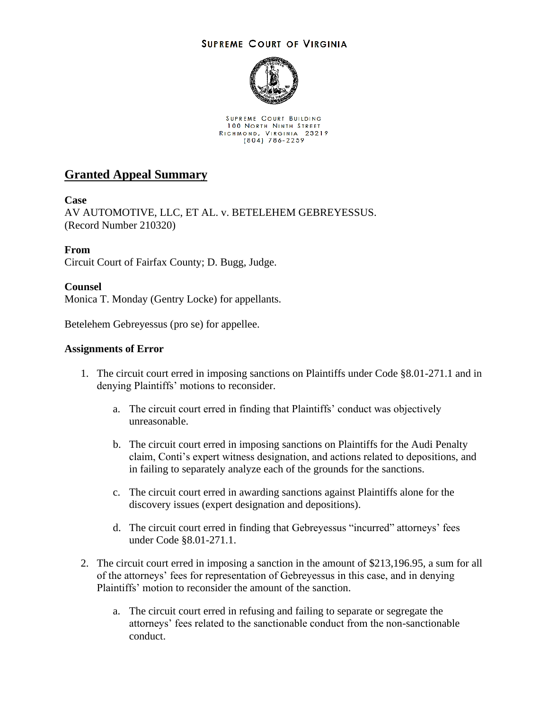## **SUPREME COURT OF VIRGINIA**



SUPREME COURT BUILDING 100 NORTH NINTH STREET RICHMOND, VIRGINIA 23219<br>(804) 786-2259

# **Granted Appeal Summary**

## **Case**

AV AUTOMOTIVE, LLC, ET AL. v. BETELEHEM GEBREYESSUS. (Record Number 210320)

## **From**

Circuit Court of Fairfax County; D. Bugg, Judge.

## **Counsel**

Monica T. Monday (Gentry Locke) for appellants.

Betelehem Gebreyessus (pro se) for appellee.

## **Assignments of Error**

- 1. The circuit court erred in imposing sanctions on Plaintiffs under Code §8.01-271.1 and in denying Plaintiffs' motions to reconsider.
	- a. The circuit court erred in finding that Plaintiffs' conduct was objectively unreasonable.
	- b. The circuit court erred in imposing sanctions on Plaintiffs for the Audi Penalty claim, Conti's expert witness designation, and actions related to depositions, and in failing to separately analyze each of the grounds for the sanctions.
	- c. The circuit court erred in awarding sanctions against Plaintiffs alone for the discovery issues (expert designation and depositions).
	- d. The circuit court erred in finding that Gebreyessus "incurred" attorneys' fees under Code §8.01-271.1.
- 2. The circuit court erred in imposing a sanction in the amount of \$213,196.95, a sum for all of the attorneys' fees for representation of Gebreyessus in this case, and in denying Plaintiffs' motion to reconsider the amount of the sanction.
	- a. The circuit court erred in refusing and failing to separate or segregate the attorneys' fees related to the sanctionable conduct from the non-sanctionable conduct.